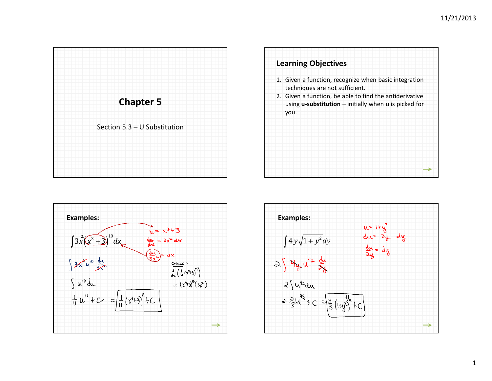





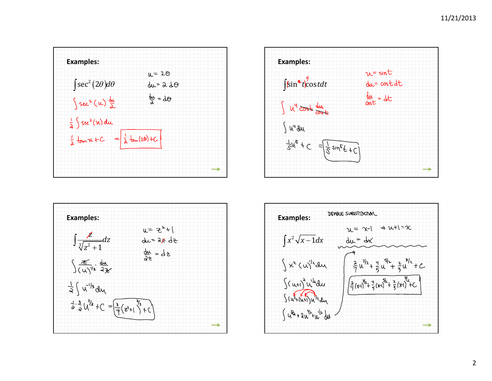